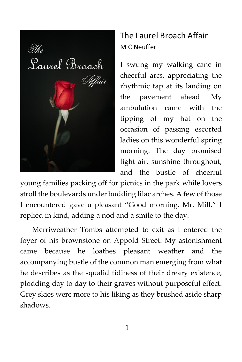

## The Laurel Broach Affair M C Neuffer

I swung my walking cane in cheerful arcs, appreciating the rhythmic tap at its landing on the pavement ahead. My ambulation came with the tipping of my hat on the occasion of passing escorted ladies on this wonderful spring morning. The day promised light air, sunshine throughout, and the bustle of cheerful

young families packing off for picnics in the park while lovers stroll the boulevards under budding lilac arches. A few of those I encountered gave a pleasant "Good morning, Mr. Mill." I replied in kind, adding a nod and a smile to the day.

Merriweather Tombs attempted to exit as I entered the foyer of his brownstone on Appold Street. My astonishment came because he loathes pleasant weather and the accompanying bustle of the common man emerging from what he describes as the squalid tidiness of their dreary existence, plodding day to day to their graves without purposeful effect. Grey skies were more to his liking as they brushed aside sharp shadows.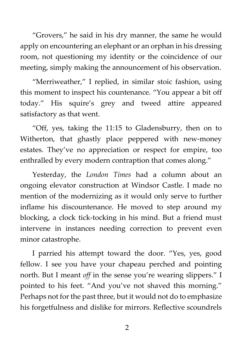"Grovers," he said in his dry manner, the same he would apply on encountering an elephant or an orphan in his dressing room, not questioning my identity or the coincidence of our meeting, simply making the announcement of his observation.

"Merriweather," I replied, in similar stoic fashion, using this moment to inspect his countenance. "You appear a bit off today." His squire's grey and tweed attire appeared satisfactory as that went.

"Off, yes, taking the 11:15 to Gladensburry, then on to Witherton, that ghastly place peppered with new-money estates. They've no appreciation or respect for empire, too enthralled by every modern contraption that comes along."

Yesterday, the *London Times* had a column about an ongoing elevator construction at Windsor Castle. I made no mention of the modernizing as it would only serve to further inflame his discountenance. He moved to step around my blocking, a clock tick-tocking in his mind. But a friend must intervene in instances needing correction to prevent even minor catastrophe.

I parried his attempt toward the door. "Yes, yes, good fellow. I see you have your chapeau perched and pointing north. But I meant *off* in the sense you're wearing slippers." I pointed to his feet. "And you've not shaved this morning." Perhaps not for the past three, but it would not do to emphasize his forgetfulness and dislike for mirrors. Reflective scoundrels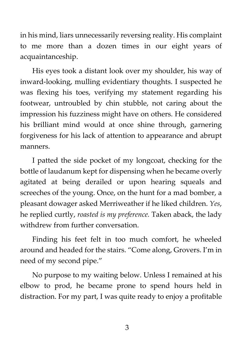in his mind, liars unnecessarily reversing reality. His complaint to me more than a dozen times in our eight years of acquaintanceship.

His eyes took a distant look over my shoulder, his way of inward-looking, mulling evidentiary thoughts. I suspected he was flexing his toes, verifying my statement regarding his footwear, untroubled by chin stubble, not caring about the impression his fuzziness might have on others. He considered his brilliant mind would at once shine through, garnering forgiveness for his lack of attention to appearance and abrupt manners.

I patted the side pocket of my longcoat, checking for the bottle of laudanum kept for dispensing when he became overly agitated at being derailed or upon hearing squeals and screeches of the young. Once, on the hunt for a mad bomber, a pleasant dowager asked Merriweather if he liked children. *Yes*, he replied curtly, *roasted is my preference.* Taken aback, the lady withdrew from further conversation.

Finding his feet felt in too much comfort, he wheeled around and headed for the stairs. "Come along, Grovers. I'm in need of my second pipe."

No purpose to my waiting below. Unless I remained at his elbow to prod, he became prone to spend hours held in distraction. For my part, I was quite ready to enjoy a profitable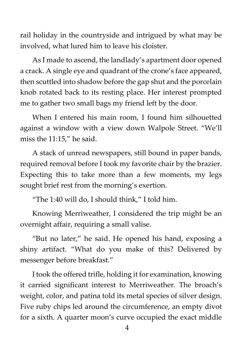rail holiday in the countryside and intrigued by what may be involved, what lured him to leave his cloister.

As I made to ascend, the landlady's apartment door opened a crack. A single eye and quadrant of the crone's face appeared, then scuttled into shadow before the gap shut and the porcelain knob rotated back to its resting place. Her interest prompted me to gather two small bags my friend left by the door.

When I entered his main room, I found him silhouetted against a window with a view down Walpole Street. "We'll miss the 11:15," he said.

A stack of unread newspapers, still bound in paper bands, required removal before I took my favorite chair by the brazier. Expecting this to take more than a few moments, my legs sought brief rest from the morning's exertion.

"The 1:40 will do, I should think," I told him.

Knowing Merriweather, I considered the trip might be an overnight affair, requiring a small valise.

"But no later," he said. He opened his hand, exposing a shiny artifact. "What do you make of this? Delivered by messenger before breakfast."

I took the offered trifle, holding it for examination, knowing it carried significant interest to Merriweather. The broach's weight, color, and patina told its metal species of silver design. Five ruby chips led around the circumference, an empty divot for a sixth. A quarter moon's curve occupied the exact middle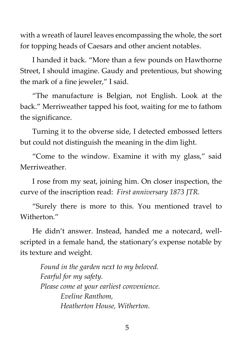with a wreath of laurel leaves encompassing the whole, the sort for topping heads of Caesars and other ancient notables.

I handed it back. "More than a few pounds on Hawthorne Street, I should imagine. Gaudy and pretentious, but showing the mark of a fine jeweler," I said.

"The manufacture is Belgian, not English. Look at the back." Merriweather tapped his foot, waiting for me to fathom the significance.

Turning it to the obverse side, I detected embossed letters but could not distinguish the meaning in the dim light.

"Come to the window. Examine it with my glass," said Merriweather.

I rose from my seat, joining him. On closer inspection, the curve of the inscription read: *First anniversary 1873 JTR.*

"Surely there is more to this. You mentioned travel to Witherton."

He didn't answer. Instead, handed me a notecard, wellscripted in a female hand, the stationary's expense notable by its texture and weight.

*Found in the garden next to my beloved. Fearful for my safety. Please come at your earliest convenience. Eveline Ranthom, Heatherton House, Witherton.*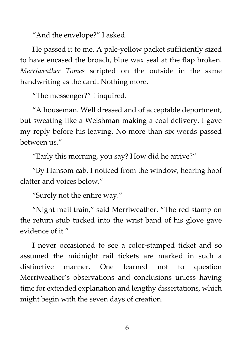"And the envelope?" I asked.

He passed it to me. A pale-yellow packet sufficiently sized to have encased the broach, blue wax seal at the flap broken. *Merriweather Tomes* scripted on the outside in the same handwriting as the card. Nothing more.

"The messenger?" I inquired.

"A houseman. Well dressed and of acceptable deportment, but sweating like a Welshman making a coal delivery. I gave my reply before his leaving. No more than six words passed between us."

"Early this morning, you say? How did he arrive?"

"By Hansom cab. I noticed from the window, hearing hoof clatter and voices below."

"Surely not the entire way."

"Night mail train," said Merriweather. "The red stamp on the return stub tucked into the wrist band of his glove gave evidence of it."

I never occasioned to see a color-stamped ticket and so assumed the midnight rail tickets are marked in such a distinctive manner. One learned not to question Merriweather's observations and conclusions unless having time for extended explanation and lengthy dissertations, which might begin with the seven days of creation.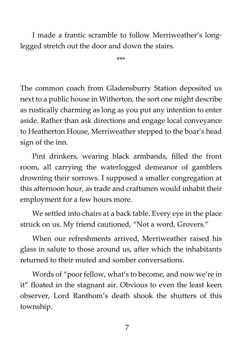I made a frantic scramble to follow Merriweather's longlegged stretch out the door and down the stairs.

\*\*\*

The common coach from Gladensburry Station deposited us next to a public house in Witherton, the sort one might describe as rustically charming as long as you put any intention to enter aside. Rather than ask directions and engage local conveyance to Heatherton House, Merriweather stepped to the boar's head sign of the inn.

Pint drinkers, wearing black armbands, filled the front room, all carrying the waterlogged demeanor of gamblers drowning their sorrows. I supposed a smaller congregation at this afternoon hour, as trade and craftsmen would inhabit their employment for a few hours more.

We settled into chairs at a back table. Every eye in the place struck on us. My friend cautioned, "Not a word, Grovers."

When our refreshments arrived, Merriweather raised his glass in salute to those around us, after which the inhabitants returned to their muted and somber conversations.

Words of "poor fellow, what's to become, and now we're in it" floated in the stagnant air. Obvious to even the least keen observer, Lord Ranthom's death shook the shutters of this township.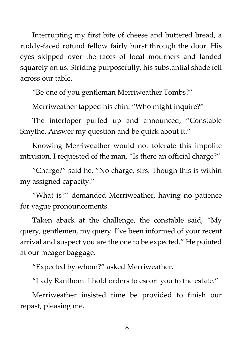Interrupting my first bite of cheese and buttered bread, a ruddy-faced rotund fellow fairly burst through the door. His eyes skipped over the faces of local mourners and landed squarely on us. Striding purposefully, his substantial shade fell across our table.

"Be one of you gentleman Merriweather Tombs?"

Merriweather tapped his chin. "Who might inquire?"

The interloper puffed up and announced, "Constable Smythe. Answer my question and be quick about it."

Knowing Merriweather would not tolerate this impolite intrusion, I requested of the man, "Is there an official charge?"

"Charge?" said he. "No charge, sirs. Though this is within my assigned capacity."

"What is?" demanded Merriweather, having no patience for vague pronouncements.

Taken aback at the challenge, the constable said, "My query, gentlemen, my query. I've been informed of your recent arrival and suspect you are the one to be expected." He pointed at our meager baggage.

"Expected by whom?" asked Merriweather.

"Lady Ranthom. I hold orders to escort you to the estate."

Merriweather insisted time be provided to finish our repast, pleasing me.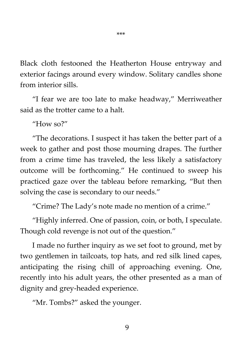Black cloth festooned the Heatherton House entryway and exterior facings around every window. Solitary candles shone from interior sills.

"I fear we are too late to make headway," Merriweather said as the trotter came to a halt.

"How so?"

"The decorations. I suspect it has taken the better part of a week to gather and post those mourning drapes. The further from a crime time has traveled, the less likely a satisfactory outcome will be forthcoming." He continued to sweep his practiced gaze over the tableau before remarking, "But then solving the case is secondary to our needs."

"Crime? The Lady's note made no mention of a crime."

"Highly inferred. One of passion, coin, or both, I speculate. Though cold revenge is not out of the question."

I made no further inquiry as we set foot to ground, met by two gentlemen in tailcoats, top hats, and red silk lined capes, anticipating the rising chill of approaching evening. One, recently into his adult years, the other presented as a man of dignity and grey-headed experience.

"Mr. Tombs?" asked the younger.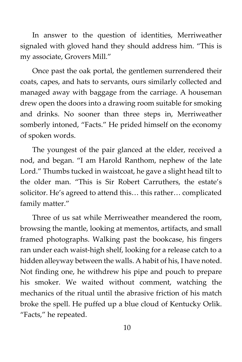In answer to the question of identities, Merriweather signaled with gloved hand they should address him. "This is my associate, Grovers Mill."

Once past the oak portal, the gentlemen surrendered their coats, capes, and hats to servants, ours similarly collected and managed away with baggage from the carriage. A houseman drew open the doors into a drawing room suitable for smoking and drinks. No sooner than three steps in, Merriweather somberly intoned, "Facts." He prided himself on the economy of spoken words.

The youngest of the pair glanced at the elder, received a nod, and began. "I am Harold Ranthom, nephew of the late Lord." Thumbs tucked in waistcoat, he gave a slight head tilt to the older man. "This is Sir Robert Carruthers, the estate's solicitor. He's agreed to attend this… this rather… complicated family matter."

Three of us sat while Merriweather meandered the room, browsing the mantle, looking at mementos, artifacts, and small framed photographs. Walking past the bookcase, his fingers ran under each waist-high shelf, looking for a release catch to a hidden alleyway between the walls. A habit of his, I have noted. Not finding one, he withdrew his pipe and pouch to prepare his smoker. We waited without comment, watching the mechanics of the ritual until the abrasive friction of his match broke the spell. He puffed up a blue cloud of Kentucky Orlik. "Facts," he repeated.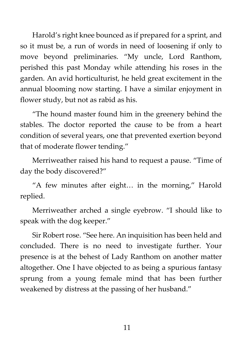Harold's right knee bounced as if prepared for a sprint, and so it must be, a run of words in need of loosening if only to move beyond preliminaries. "My uncle, Lord Ranthom, perished this past Monday while attending his roses in the garden. An avid horticulturist, he held great excitement in the annual blooming now starting. I have a similar enjoyment in flower study, but not as rabid as his.

"The hound master found him in the greenery behind the stables. The doctor reported the cause to be from a heart condition of several years, one that prevented exertion beyond that of moderate flower tending."

Merriweather raised his hand to request a pause. "Time of day the body discovered?"

"A few minutes after eight… in the morning," Harold replied.

Merriweather arched a single eyebrow. "I should like to speak with the dog keeper."

Sir Robert rose. "See here. An inquisition has been held and concluded. There is no need to investigate further. Your presence is at the behest of Lady Ranthom on another matter altogether. One I have objected to as being a spurious fantasy sprung from a young female mind that has been further weakened by distress at the passing of her husband."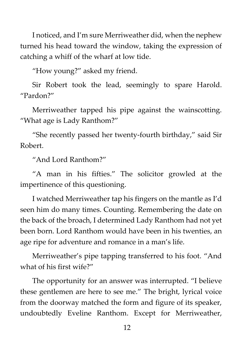I noticed, and I'm sure Merriweather did, when the nephew turned his head toward the window, taking the expression of catching a whiff of the wharf at low tide.

"How young?" asked my friend.

Sir Robert took the lead, seemingly to spare Harold. "Pardon?"

Merriweather tapped his pipe against the wainscotting. "What age is Lady Ranthom?"

"She recently passed her twenty-fourth birthday," said Sir Robert.

"And Lord Ranthom?"

"A man in his fifties." The solicitor growled at the impertinence of this questioning.

I watched Merriweather tap his fingers on the mantle as I'd seen him do many times. Counting. Remembering the date on the back of the broach, I determined Lady Ranthom had not yet been born. Lord Ranthom would have been in his twenties, an age ripe for adventure and romance in a man's life.

Merriweather's pipe tapping transferred to his foot. "And what of his first wife?"

The opportunity for an answer was interrupted. "I believe these gentlemen are here to see me." The bright, lyrical voice from the doorway matched the form and figure of its speaker, undoubtedly Eveline Ranthom. Except for Merriweather,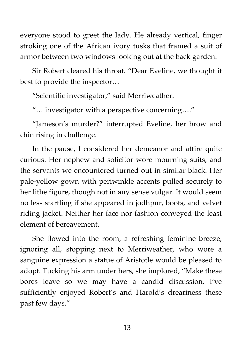everyone stood to greet the lady. He already vertical, finger stroking one of the African ivory tusks that framed a suit of armor between two windows looking out at the back garden.

Sir Robert cleared his throat. "Dear Eveline, we thought it best to provide the inspector…

"Scientific investigator," said Merriweather.

"… investigator with a perspective concerning…."

"Jameson's murder?" interrupted Eveline, her brow and chin rising in challenge.

In the pause, I considered her demeanor and attire quite curious. Her nephew and solicitor wore mourning suits, and the servants we encountered turned out in similar black. Her pale-yellow gown with periwinkle accents pulled securely to her lithe figure, though not in any sense vulgar. It would seem no less startling if she appeared in jodhpur, boots, and velvet riding jacket. Neither her face nor fashion conveyed the least element of bereavement.

She flowed into the room, a refreshing feminine breeze, ignoring all, stopping next to Merriweather, who wore a sanguine expression a statue of Aristotle would be pleased to adopt. Tucking his arm under hers, she implored, "Make these bores leave so we may have a candid discussion. I've sufficiently enjoyed Robert's and Harold's dreariness these past few days."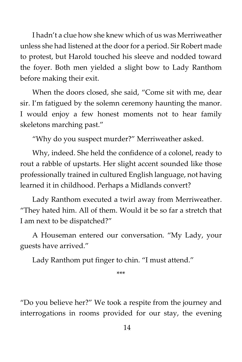I hadn't a clue how she knew which of us was Merriweather unless she had listened at the door for a period. Sir Robert made to protest, but Harold touched his sleeve and nodded toward the foyer. Both men yielded a slight bow to Lady Ranthom before making their exit.

When the doors closed, she said, "Come sit with me, dear sir. I'm fatigued by the solemn ceremony haunting the manor. I would enjoy a few honest moments not to hear family skeletons marching past."

"Why do you suspect murder?" Merriweather asked.

Why, indeed. She held the confidence of a colonel, ready to rout a rabble of upstarts. Her slight accent sounded like those professionally trained in cultured English language, not having learned it in childhood. Perhaps a Midlands convert?

Lady Ranthom executed a twirl away from Merriweather. "They hated him. All of them. Would it be so far a stretch that I am next to be dispatched?"

A Houseman entered our conversation. "My Lady, your guests have arrived."

Lady Ranthom put finger to chin. "I must attend."

\*\*\*

"Do you believe her?" We took a respite from the journey and interrogations in rooms provided for our stay, the evening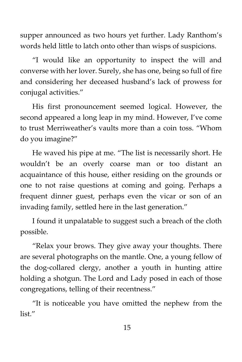supper announced as two hours yet further. Lady Ranthom's words held little to latch onto other than wisps of suspicions.

"I would like an opportunity to inspect the will and converse with her lover. Surely, she has one, being so full of fire and considering her deceased husband's lack of prowess for conjugal activities."

His first pronouncement seemed logical. However, the second appeared a long leap in my mind. However, I've come to trust Merriweather's vaults more than a coin toss. "Whom do you imagine?"

He waved his pipe at me. "The list is necessarily short. He wouldn't be an overly coarse man or too distant an acquaintance of this house, either residing on the grounds or one to not raise questions at coming and going. Perhaps a frequent dinner guest, perhaps even the vicar or son of an invading family, settled here in the last generation."

I found it unpalatable to suggest such a breach of the cloth possible.

"Relax your brows. They give away your thoughts. There are several photographs on the mantle. One, a young fellow of the dog-collared clergy, another a youth in hunting attire holding a shotgun. The Lord and Lady posed in each of those congregations, telling of their recentness."

"It is noticeable you have omitted the nephew from the list."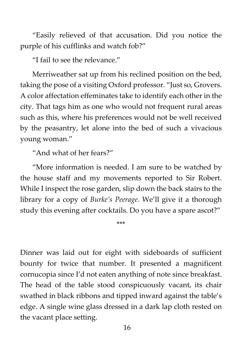"Easily relieved of that accusation. Did you notice the purple of his cufflinks and watch fob?"

"I fail to see the relevance."

Merriweather sat up from his reclined position on the bed, taking the pose of a visiting Oxford professor. "Just so, Grovers. A color affectation effeminates take to identify each other in the city. That tags him as one who would not frequent rural areas such as this, where his preferences would not be well received by the peasantry, let alone into the bed of such a vivacious young woman."

"And what of her fears?"

"More information is needed. I am sure to be watched by the house staff and my movements reported to Sir Robert. While I inspect the rose garden, slip down the back stairs to the library for a copy of *Burke's Peerage*. We'll give it a thorough study this evening after cocktails. Do you have a spare ascot?"

\*\*\*

Dinner was laid out for eight with sideboards of sufficient bounty for twice that number. It presented a magnificent cornucopia since I'd not eaten anything of note since breakfast. The head of the table stood conspicuously vacant, its chair swathed in black ribbons and tipped inward against the table's edge. A single wine glass dressed in a dark lap cloth rested on the vacant place setting.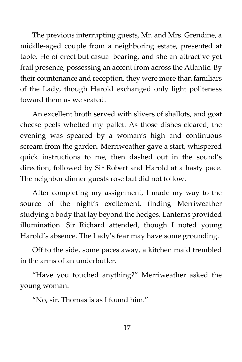The previous interrupting guests, Mr. and Mrs. Grendine, a middle-aged couple from a neighboring estate, presented at table. He of erect but casual bearing, and she an attractive yet frail presence, possessing an accent from across the Atlantic. By their countenance and reception, they were more than familiars of the Lady, though Harold exchanged only light politeness toward them as we seated.

An excellent broth served with slivers of shallots, and goat cheese peels whetted my pallet. As those dishes cleared, the evening was speared by a woman's high and continuous scream from the garden. Merriweather gave a start, whispered quick instructions to me, then dashed out in the sound's direction, followed by Sir Robert and Harold at a hasty pace. The neighbor dinner guests rose but did not follow.

After completing my assignment, I made my way to the source of the night's excitement, finding Merriweather studying a body that lay beyond the hedges. Lanterns provided illumination. Sir Richard attended, though I noted young Harold's absence. The Lady's fear may have some grounding.

Off to the side, some paces away, a kitchen maid trembled in the arms of an underbutler.

"Have you touched anything?" Merriweather asked the young woman.

"No, sir. Thomas is as I found him."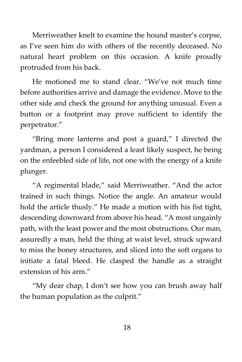Merriweather knelt to examine the hound master's corpse, as I've seen him do with others of the recently deceased. No natural heart problem on this occasion. A knife proudly protruded from his back.

He motioned me to stand clear. "We've not much time before authorities arrive and damage the evidence. Move to the other side and check the ground for anything unusual. Even a button or a footprint may prove sufficient to identify the perpetrator."

"Bring more lanterns and post a guard," I directed the yardman, a person I considered a least likely suspect, he being on the enfeebled side of life, not one with the energy of a knife plunger.

"A regimental blade," said Merriweather. "And the actor trained in such things. Notice the angle. An amateur would hold the article thusly." He made a motion with his fist tight, descending downward from above his head. "A most ungainly path, with the least power and the most obstructions. Our man, assuredly a man, held the thing at waist level, struck upward to miss the boney structures, and sliced into the soft organs to initiate a fatal bleed. He clasped the handle as a straight extension of his arm."

"My dear chap, I don't see how you can brush away half the human population as the culprit."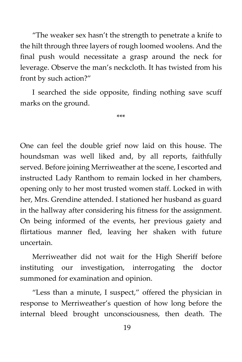"The weaker sex hasn't the strength to penetrate a knife to the hilt through three layers of rough loomed woolens. And the final push would necessitate a grasp around the neck for leverage. Observe the man's neckcloth. It has twisted from his front by such action?"

I searched the side opposite, finding nothing save scuff marks on the ground.

\*\*\*

One can feel the double grief now laid on this house. The houndsman was well liked and, by all reports, faithfully served. Before joining Merriweather at the scene, I escorted and instructed Lady Ranthom to remain locked in her chambers, opening only to her most trusted women staff. Locked in with her, Mrs. Grendine attended. I stationed her husband as guard in the hallway after considering his fitness for the assignment. On being informed of the events, her previous gaiety and flirtatious manner fled, leaving her shaken with future uncertain.

Merriweather did not wait for the High Sheriff before instituting our investigation, interrogating the doctor summoned for examination and opinion.

"Less than a minute, I suspect," offered the physician in response to Merriweather's question of how long before the internal bleed brought unconsciousness, then death. The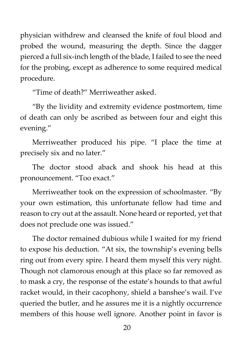physician withdrew and cleansed the knife of foul blood and probed the wound, measuring the depth. Since the dagger pierced a full six-inch length of the blade, I failed to see the need for the probing, except as adherence to some required medical procedure.

"Time of death?" Merriweather asked.

"By the lividity and extremity evidence postmortem, time of death can only be ascribed as between four and eight this evening."

Merriweather produced his pipe. "I place the time at precisely six and no later."

The doctor stood aback and shook his head at this pronouncement. "Too exact."

Merriweather took on the expression of schoolmaster. "By your own estimation, this unfortunate fellow had time and reason to cry out at the assault. None heard or reported, yet that does not preclude one was issued."

The doctor remained dubious while I waited for my friend to expose his deduction. "At six, the township's evening bells ring out from every spire. I heard them myself this very night. Though not clamorous enough at this place so far removed as to mask a cry, the response of the estate's hounds to that awful racket would, in their cacophony, shield a banshee's wail. I've queried the butler, and he assures me it is a nightly occurrence members of this house well ignore. Another point in favor is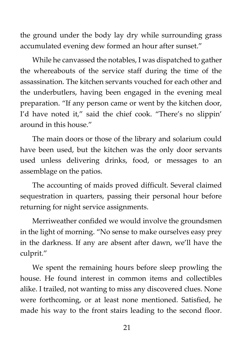the ground under the body lay dry while surrounding grass accumulated evening dew formed an hour after sunset."

While he canvassed the notables, I was dispatched to gather the whereabouts of the service staff during the time of the assassination. The kitchen servants vouched for each other and the underbutlers, having been engaged in the evening meal preparation. "If any person came or went by the kitchen door, I'd have noted it," said the chief cook. "There's no slippin' around in this house."

The main doors or those of the library and solarium could have been used, but the kitchen was the only door servants used unless delivering drinks, food, or messages to an assemblage on the patios.

The accounting of maids proved difficult. Several claimed sequestration in quarters, passing their personal hour before returning for night service assignments.

Merriweather confided we would involve the groundsmen in the light of morning. "No sense to make ourselves easy prey in the darkness. If any are absent after dawn, we'll have the culprit."

We spent the remaining hours before sleep prowling the house. He found interest in common items and collectibles alike. I trailed, not wanting to miss any discovered clues. None were forthcoming, or at least none mentioned. Satisfied, he made his way to the front stairs leading to the second floor.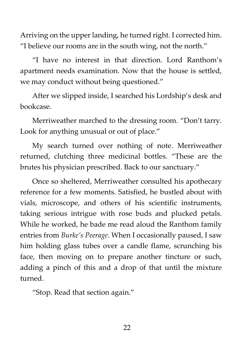Arriving on the upper landing, he turned right. I corrected him. "I believe our rooms are in the south wing, not the north."

"I have no interest in that direction. Lord Ranthom's apartment needs examination. Now that the house is settled, we may conduct without being questioned."

After we slipped inside, I searched his Lordship's desk and bookcase.

Merriweather marched to the dressing room. "Don't tarry. Look for anything unusual or out of place."

My search turned over nothing of note. Merriweather returned, clutching three medicinal bottles. "These are the brutes his physician prescribed. Back to our sanctuary."

Once so sheltered, Merriweather consulted his apothecary reference for a few moments. Satisfied, he bustled about with vials, microscope, and others of his scientific instruments, taking serious intrigue with rose buds and plucked petals. While he worked, he bade me read aloud the Ranthom family entries from *Burke's Peerage*. When I occasionally paused, I saw him holding glass tubes over a candle flame, scrunching his face, then moving on to prepare another tincture or such, adding a pinch of this and a drop of that until the mixture turned.

"Stop. Read that section again."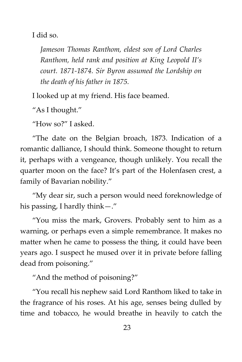I did so.

*Jameson Thomas Ranthom, eldest son of Lord Charles Ranthom, held rank and position at King Leopold II's court. 1871-1874. Sir Byron assumed the Lordship on the death of his father in 1875.*

I looked up at my friend. His face beamed.

"As I thought."

"How so?" I asked.

"The date on the Belgian broach, 1873. Indication of a romantic dalliance, I should think. Someone thought to return it, perhaps with a vengeance, though unlikely. You recall the quarter moon on the face? It's part of the Holenfasen crest, a family of Bavarian nobility."

"My dear sir, such a person would need foreknowledge of his passing, I hardly think—."

"You miss the mark, Grovers. Probably sent to him as a warning, or perhaps even a simple remembrance. It makes no matter when he came to possess the thing, it could have been years ago. I suspect he mused over it in private before falling dead from poisoning."

"And the method of poisoning?"

"You recall his nephew said Lord Ranthom liked to take in the fragrance of his roses. At his age, senses being dulled by time and tobacco, he would breathe in heavily to catch the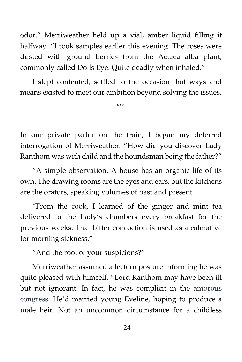odor." Merriweather held up a vial, amber liquid filling it halfway. "I took samples earlier this evening. The roses were dusted with ground berries from the Actaea alba plant, commonly called Dolls Eye. Quite deadly when inhaled."

I slept contented, settled to the occasion that ways and means existed to meet our ambition beyond solving the issues.

\*\*\*

In our private parlor on the train, I began my deferred interrogation of Merriweather. "How did you discover Lady Ranthom was with child and the houndsman being the father?"

"A simple observation. A house has an organic life of its own. The drawing rooms are the eyes and ears, but the kitchens are the orators, speaking volumes of past and present.

"From the cook, I learned of the ginger and mint tea delivered to the Lady's chambers every breakfast for the previous weeks. That bitter concoction is used as a calmative for morning sickness."

"And the root of your suspicions?"

Merriweather assumed a lectern posture informing he was quite pleased with himself. "Lord Ranthom may have been ill but not ignorant. In fact, he was complicit in the amorous congress. He'd married young Eveline, hoping to produce a male heir. Not an uncommon circumstance for a childless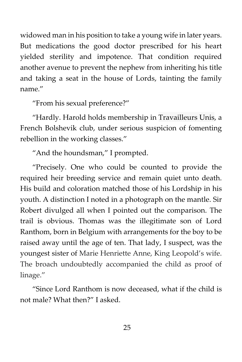widowed man in his position to take a young wife in later years. But medications the good doctor prescribed for his heart yielded sterility and impotence. That condition required another avenue to prevent the nephew from inheriting his title and taking a seat in the house of Lords, tainting the family name."

"From his sexual preference?"

"Hardly. Harold holds membership in Travailleurs Unis, a French Bolshevik club, under serious suspicion of fomenting rebellion in the working classes."

"And the houndsman," I prompted.

"Precisely. One who could be counted to provide the required heir breeding service and remain quiet unto death. His build and coloration matched those of his Lordship in his youth. A distinction I noted in a photograph on the mantle. Sir Robert divulged all when I pointed out the comparison. The trail is obvious. Thomas was the illegitimate son of Lord Ranthom, born in Belgium with arrangements for the boy to be raised away until the age of ten. That lady, I suspect, was the youngest sister of Marie Henriette Anne, King Leopold's wife. The broach undoubtedly accompanied the child as proof of linage."

"Since Lord Ranthom is now deceased, what if the child is not male? What then?" I asked.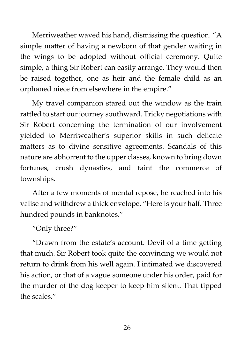Merriweather waved his hand, dismissing the question. "A simple matter of having a newborn of that gender waiting in the wings to be adopted without official ceremony. Quite simple, a thing Sir Robert can easily arrange. They would then be raised together, one as heir and the female child as an orphaned niece from elsewhere in the empire."

My travel companion stared out the window as the train rattled to start our journey southward. Tricky negotiations with Sir Robert concerning the termination of our involvement yielded to Merriweather's superior skills in such delicate matters as to divine sensitive agreements. Scandals of this nature are abhorrent to the upper classes, known to bring down fortunes, crush dynasties, and taint the commerce of townships.

After a few moments of mental repose, he reached into his valise and withdrew a thick envelope. "Here is your half. Three hundred pounds in banknotes."

"Only three?"

"Drawn from the estate's account. Devil of a time getting that much. Sir Robert took quite the convincing we would not return to drink from his well again. I intimated we discovered his action, or that of a vague someone under his order, paid for the murder of the dog keeper to keep him silent. That tipped the scales."